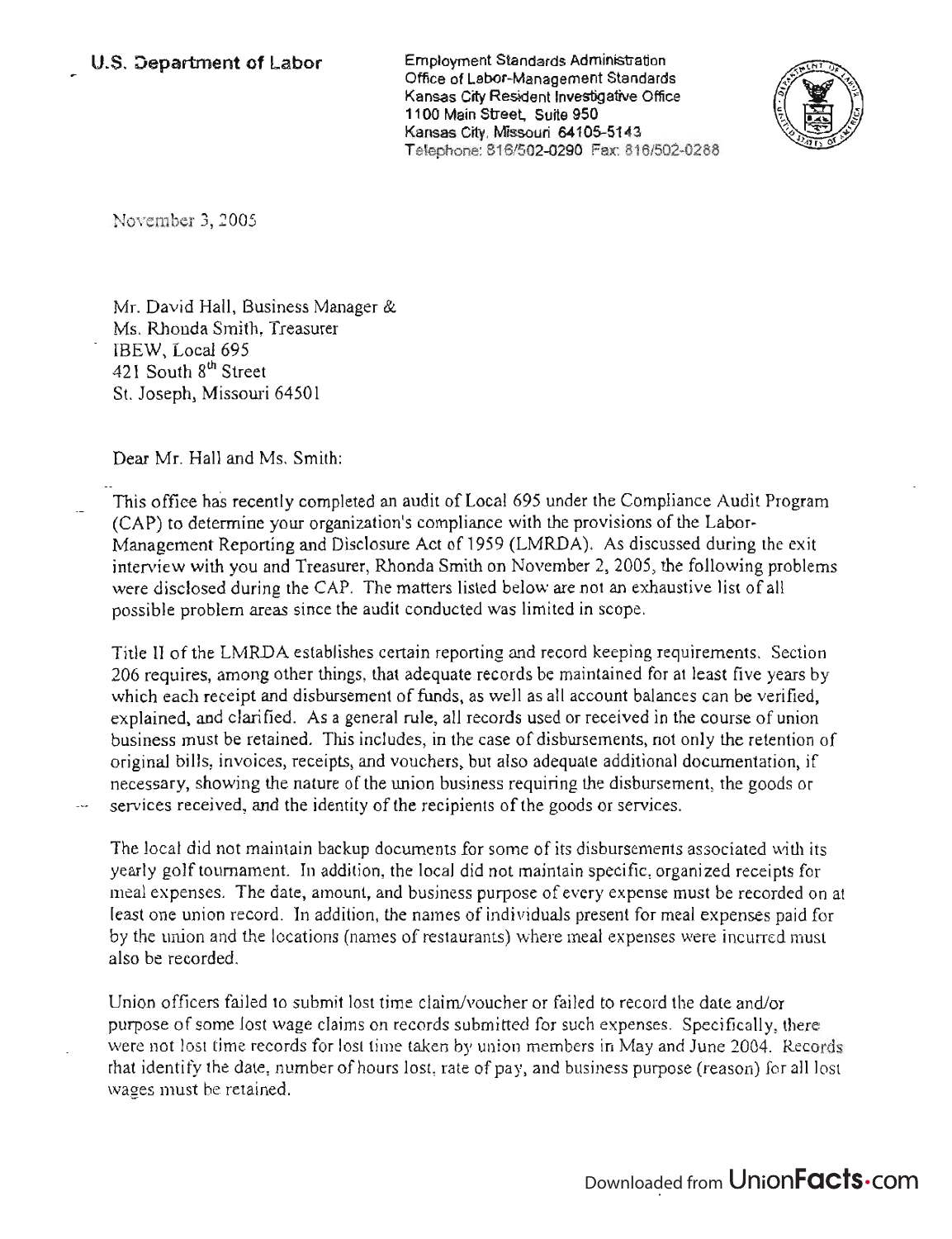Employment Standards Administration Office of Labor-Management Standards Kansas City Resident Investigative Office 1100 Main Street, Suite 950 Kansas City, Missouri 64105-5143 Telephone: 816/502-0290 Fax: 816/502-0288



Noyember 3, 2005

Mr. David Hall, Business Manager & Ms. Rhonda Smith, Treasurer IBEW, Local 695 421 South 8<sup>th</sup> Street St. Joseph, Missouri 64501

Dear Mr. Hall and Ms. Smith:

This office has recently completed an audit of Local 695 under the Compliance Audit Program (CAP) to determine your organization's compliance with the provisions of the Labor-Management Reporting and Disclosure Act of 1959 (LMRDA). As discussed during the exit interview with you and Treasurer, Rhonda Smith on November 2, 2005, the following problems were disclosed during the CAP. The matters listed below are not an exhaustive list of all possible problem areas since the audit conducted was limited in scope.

Title II of the LMRDA establishes certain reporting and record keeping requirements. Section 206 requires, among other things, that adequate records be maintained for at least five years by which each receipt and disbursement of funds, as well as all account balances can be verified, explained, and clarified. As a general rule, all records used or received in the course of union business must be retained. This includes, in the case of disbursements, not only the retention of original bills, invoices, receipts, and vouchers, but also adequate additional documentation, if necessary, showing the nature of the union business requiring the disbursement, the goods or services received, and the identity of the recipients of the goods or services.

The local did not maintain backup documents for some of its disbursements associated with its yearly golf tournament. In addition, the local did not maintain specific, organized receipts for meal expenses. The date, amount, and business purpose of every expense must be recorded on at least one union record. In addition, the names of individuals present for meal expenses paid for by the union and the locations (names of restaurants) where meal expenses were incurred must also be recorded.

Union officers failed to submit lost time claim/voucher or failed to record the date and/or purpose of some lost wage claims on records submitted for such expenses. Specifically, there were not lost time records for lost time taken by union members in May and June 2004. Records that identify the date, number of hours lost, rate of pay, and business purpose (reason) for all lost wages must be retained.